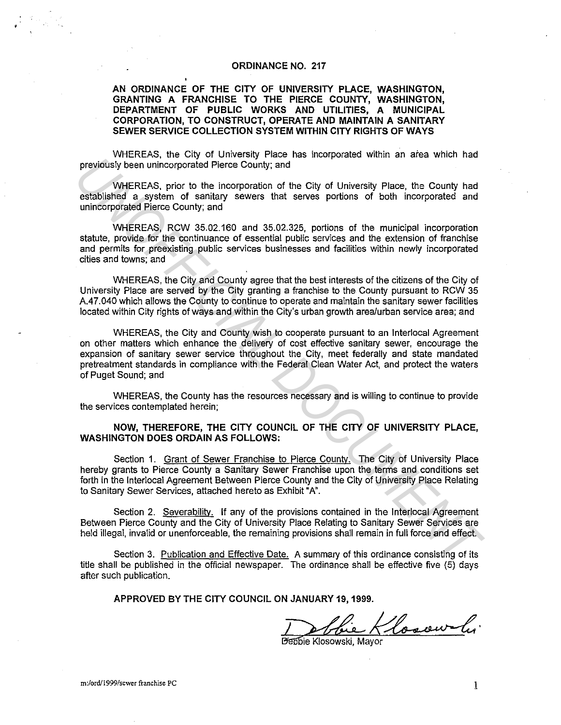#### **ORDINANCE NO. 217**

**AN ORDINANCE OF THE CITY OF UNIVERSITY PLACE, WASHINGTON, GRANTING A FRANCHISE TO THE PIERCE COUNTY, WASHINGTON, DEPARTMENT OF PUBLIC WORKS AND UTILITIES, A MUNICIPAL CORPORATION, TO CONSTRUCT, OPERATE AND MAINTAIN A SANITARY SEWER SERVICE COLLECTION SYSTEM WITHIN CITY RIGHTS OF WAYS** 

WHEREAS, the City of University Place has incorporated within an area which had previously been unincorporated Pierce County; and

WHEREAS, prior to the incorporation of the City of University Place, the County had established a system of sanitary sewers that serves portions of both incorporated and unincorporated Pierce County; and

WHEREAS, RCW 35.02.160 and 35.02.325, portions of the municipal incorporation statute, provide for the continuance of essential public services and the extension of franchise and permits for preexisting public services businesses and facilities within newly incorporated cities and towns; and

WHEREAS, the City and County agree that the best interests of the citizens of the City of University Place are served by the City granting a franchise to the County pursuant to RCW 35 A.47.040 which allows the County to continue to operate and maintain the sanitary sewer facilities located within City rights of ways and within the City's urban growth area/urban service area; and

WHEREAS, the City and County wish to cooperate pursuant to an lnterlocal Agreement on other matters which enhance the delivery of cost effective sanitary sewer, encourage the expansion of sanitary sewer service throughout the City, meet federally and state mandated pretreatment standards in compliance with the Federal Clean Water Act, and protect the waters of Puget Sound; and previously been unincorporated Pierce County, and<br>
WHEREAS, prior to the nonpyonal means are process mann and the case with the case of the case of the case of the case of the case of the case of the case of the method and

WHEREAS, the County has the resources necessary and is willing to continue to provide the services contemplated herein;

#### **NOW, THEREFORE, THE CITY COUNCIL OF THE CITY OF UNIVERSITY PLACE, WASHINGTON DOES ORDAIN AS FOLLOWS:**

Section 1. Grant of Sewer Franchise to Pierce County. The City of University Place hereby grants to Pierce County a Sanitary Sewer Franchise upon the terms and conditions set forth in the lnterlocal Agreement Between Pierce County and the City of University Place Relating to Sanitary Sewer Services, attached hereto as Exhibit "A'.

Section 2. Severability. If any of the provisions contained in the Interlocal Agreement Between Pierce County and the City of University Place Relating to Sanitary Sewer Services are held illegal, invalid or unenforceable, the remaining provisions shall remain in full force and effect.

Section 3. Publication and Effective Date. A summary of this ordinance consisting of its title shall be published in the official newspaper. The ordinance shall be effective five (5) days after such publication.

**APPROVED BY THE CITY COUNCIL ON JANUARY 19, 1999.** 

Dentre Klosowski, Mayor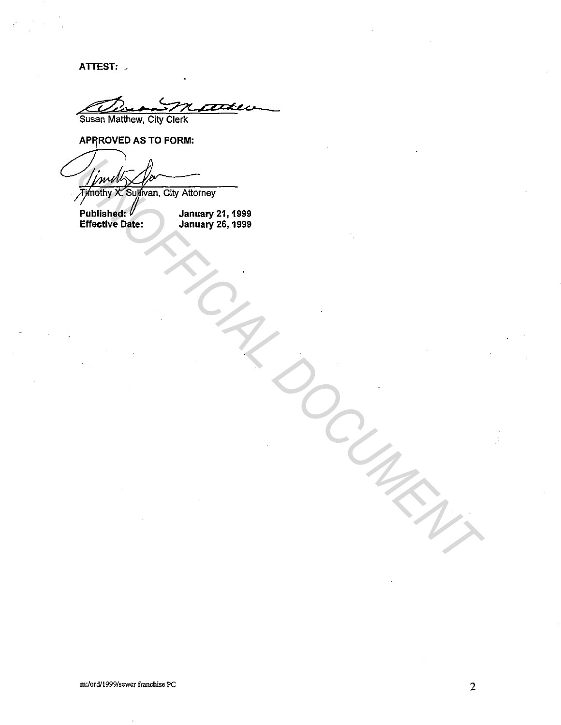ATTEST: -

**TIXE** 'Susan Matthew, City Clerk

**APPROVED AS TO FORM:** 

Fiching X Suffician, City Altorney<br>
Published:<br>
Effective Date: January 24, 1999<br>
Effective Date: January 26, 1999<br>
Control Control Date: January 26, 1999<br>
Control Control Date: January 26, 1999<br>
Control Date: January 26,

Published:  $V$  January 21, 1999 Effective Date: January 26, 1999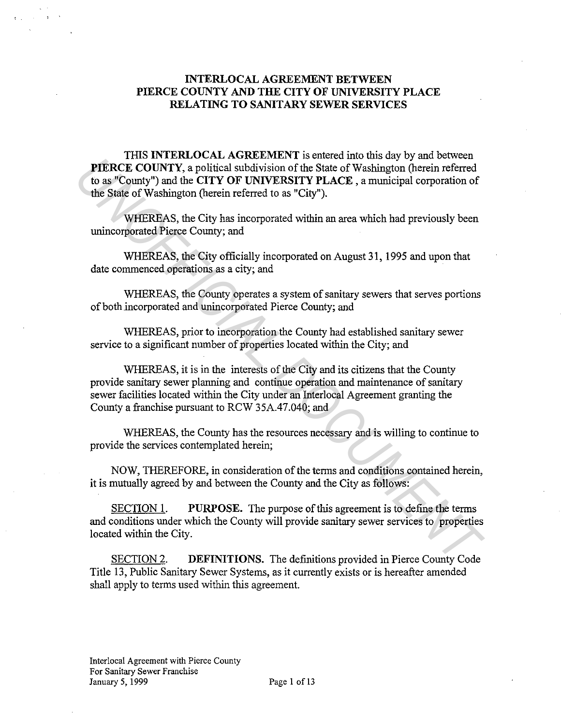# **INTERLOCAL AGREEMENT BETWEEN PIERCE COUNTY AND THE CITY OF UNIVERSITY PLACE RELATING TO SANITARY SEWER SERVICES**

THIS **INTERLOCAL AGREEMENT** is entered into this day by and between **PIERCE COUNTY,** a political subdivision of the State of Washington (herein referred to as "County") and the **CITY OF UNIVERSITY PLACE** , a municipal corporation of the State of Washington (herein referred to as "City").

WHEREAS, the City has incorporated within an area which had previously been unincorporated Pierce County; and

WHEREAS, the City officially incorporated on August 31, 1995 and upon that date commenced operations as a city; and

WHEREAS, the County operates a system of sanitary sewers that serves portions of both incorporated and unincorporated Pierce County; and

WHEREAS, prior to incorporation the County had established sanitary sewer service to a significant number of properties located within the City; and

WHEREAS, it is in the interests of the City and its citizens that the County provide sanitary sewer planning and continue operation and maintenance of sanitary sewer facilities located within the City under an Interlocal Agreement granting the County a franchise pursuant to RCW 35A.47.040; and **PIERCE COUNTY, a political subdivision of the State of Washington (berein referred<br>to as "County") and the CITY OF UNIVERSITY PLACE, a municipal exporation of<br>the State of Washington (berein referred to as "City").<br>WHEREA** 

WHEREAS, the County has the resources necessary and is willing to continue to provide the services contemplated herein;

NOW, THEREFORE, in consideration of the terms and conditions contained herein, it is mutually agreed by and between the County and the City as follows:

SECTION 1. **PURPOSE.** The purpose of this agreement is to define the terms and conditions under which the County will provide sanitary sewer services to properties located within the City.

SECTION 2. **DEFINITIONS.** The definitions provided in Pierce County Code Title 13, Public Sanitary Sewer Systems, as it currently exists or is hereafter amended shall apply to terms used within this agreement.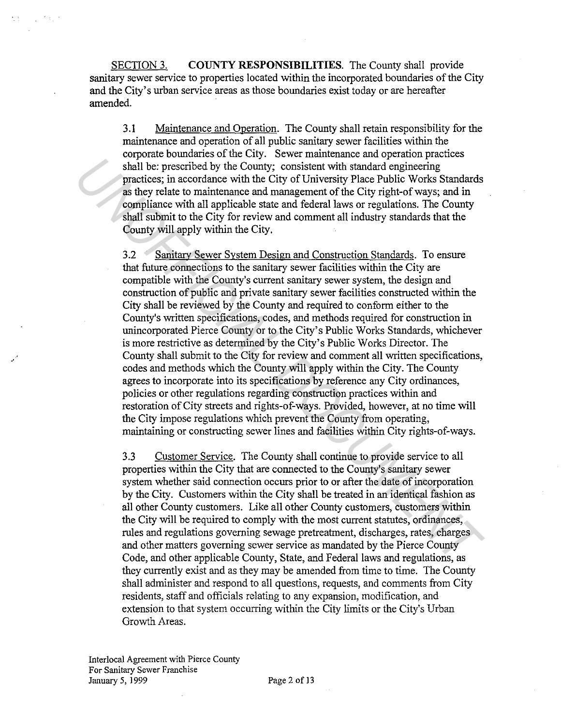SECTION 3. **COUNTY RESPONSIBILITIES.** The County shall provide sanitary sewer service to properties located within the incorporated boundaries of the City and the City's urban service areas as those boundaries exist today or are hereafter amended.

3.1 Maintenance and Operation. The County shall retain responsibility for the maintenance and operation of all public sanitary sewer facilities within the corporate boundaries of the City. Sewer maintenance and operation practices shall be: prescribed by the County; consistent with standard engineering practices; in accordance with the City of University Place Public Works Standards as they relate to maintenance and management of the City right-of ways; and in compliance with all applicable state and federal laws or regulations. The County shall submit to the City for review and comment all industry standards that the County will apply within the City.

3.2 Sanitarv Sewer System Design and Construction Standards. To ensure that future connections to the sanitary sewer facilities within the City are compatible with the County's current sanitary sewer system, the design and construction of public and private sanitary sewer facilities constructed within the City shall be reviewed by the County and required to conform either to the County's written specifications, codes, and methods required for construction in unincorporated Pierce County or to the City's Public Works Standards, whichever is more restrictive as determined by the City's Public Works Director. The County shall submit to the City for review and comment all written specifications, codes and methods which the County will apply within the City. The County agrees to incorporate into its specifications by reference any City ordinances, policies or other regulations regarding construction practices within and restoration of City streets and rights-of-ways. Provided, however, at no time will the City impose regulations which prevent the County from operating, maintaining or constructing sewer lines and facilities within City rights-of-ways. **Example 10** the county consistent with standard engineering<br> **Example 2** the county, consistent with standard engineering<br>
practices; in accordance with the City of Indversity Place Public Works Standard<br>
as they relate t

3.3 Customer Service. The County shall continue to provide service to all properties within the City that are connected to the County's sanitary sewer system whether said connection occurs prior to or after the date of incorporation by the City. Customers within the City shall be treated in an identical fashion as all other County customers. Like all other County customers, customers within the City will be required to comply with the most current statutes, ordinances, rules and regulations governing sewage pretreatment, discharges, rates, charges and other matters governing sewer service as mandated by the Pierce County Code, and other applicable County, State, and Federal laws and regulations, as they currently exist and as they may be amended from time to time. The County shall administer and respond to all questions, requests, and comments from City residents, staff and officials relating to any expansion, modification, and extension to that system occurring within the City limits or the City's Urban Growth Areas.

Interlocal Agreement with Pierce County For Sanitary Sewer Franchise January 5, 1999 Page 2 of 13

 $\mathcal{F}(\mathcal{A})$  .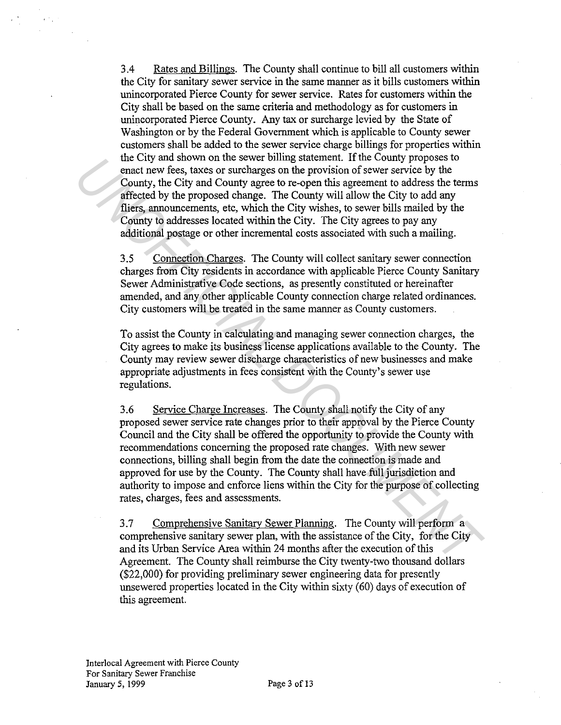3.4 Rates and Billings. The County shall continue to bill all customers within the City for sanitary sewer service in the same manner as it bills customers within unincorporated Pierce County for sewer service. Rates for customers within the City shall be based on the same criteria and methodology as for customers in unincorporated Pierce County. Any tax or surcharge levied by the State of Washington or by the Federal Government which is applicable to County sewer customers shall be added to the sewer service charge billings for properties within the City and shown on the sewer billing statement. If the County proposes to enact new fees, taxes or surcharges on the provision of sewer service by the County, the City and County agree to re-open this agreement to address the terms affected by the proposed change. The County will allow the City to add any fliers, announcements, etc, which the City wishes, to sewer bills mailed by the County to addresses located within the City. The City agrees to pay any additional postage or other incremental costs associated with such a mailing.

3.5 Connection Charges. The County will collect sanitary sewer connection charges from City residents in accordance with applicable Pierce County Sanitary Sewer Administrative Code sections, as presently constituted or hereinafter amended, and any other applicable County connection charge related ordinances. City customers will be treated in the same manner as County customers.

To assist the County in calculating and managing sewer connection charges, the City agrees to make its business license applications available to the County. The County may review sewer discharge characteristics of new businesses and make appropriate adjustments in fees consistent with the County's sewer use regulations.

3.6 Service Charge Increases. The County shall notify the City of any proposed sewer service rate changes prior to their approval by the Pierce County Council and the City shall be offered the opportunity to provide the County with recommendations concerning the proposed rate changes. With new sewer connections, billing shall begin from the date the connection is made and approved for use by the County. The County shall have full jurisdiction and authority to impose and enforce liens within the City for the purpose of collecting rates, charges, fees and assessments. In C.UV am shown on the seaver bulling statement. It me County proposes to<br>encet new fees, taxes or such<br>targes on the provision of sever service by the<br>County, the City and County agree to re-open this agreement to addres

3.7 Comprehensive Sanitarv Sewer Planning. The County will perform a comprehensive sanitary sewer plan, with the assistance of the City, for the City and its Urban Service Area within 24 months after the execution of this Agreement. The County shall reimburse the City twenty-two thousand dollars (\$22,000) for providing preliminary sewer engineering data for presently unsewered properties located in the City within sixty (60) days of execution of this agreement.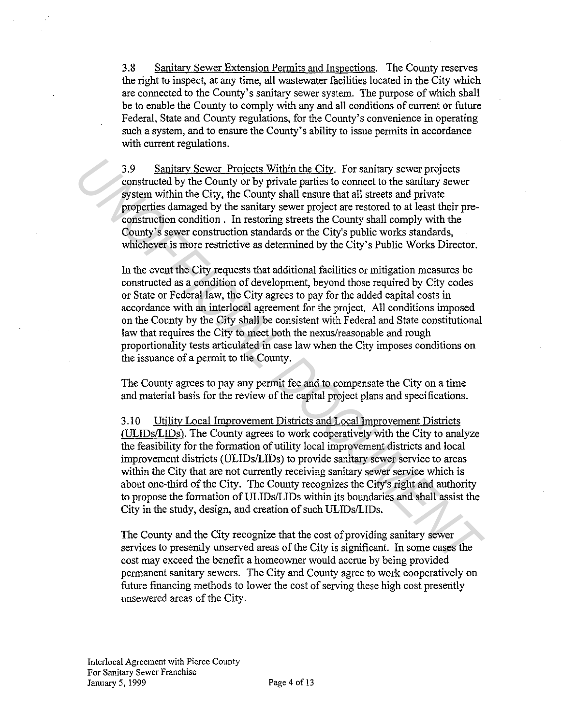3.8 Sanitary Sewer Extension Permits and Inspections. The County reserves the right to inspect, at any time, all wastewater facilities located in the City which are connected to the County's sanitary sewer system. The purpose of which shall be to enable the County to comply with any and all conditions of current or future Federal, State and County regulations, for the County's convenience in operating such a system, and to ensure the County's ability to issue permits in accordance with current regulations.

3.9 Sanitarv Sewer Projects Within the Citv. For sanitary sewer projects constructed by the County or by private parties to connect to the sanitary sewer system within the City, the County shall ensure that all streets and private properties damaged by the sanitary sewer project are restored to at least their preconstruction condition . In restoring streets the County shall comply with the County's sewer construction standards or the City's public works standards, whichever is more restrictive as determined by the City's Public Works Director.

In the event the City requests that additional facilities or mitigation measures be constructed as a condition of development, beyond those required by City codes or State or Federal law, the City agrees to pay for the added capital costs in accordance with an interlocal agreement for the project. All conditions imposed on the County by the City shall be consistent with Federal and State constitutional law that requires the City to meet both the nexus/reasonable and rough proportionality tests articulated in case law when the City imposes conditions on the issuance of a permit to the County. 3.9 Sanitary Sewer Projects Within the City. For sanitary sewer projects<br>constructed by the County or by private parties to connect to the sanitary sever<br>properties damaged by the Scury or by private parts and the connect

The County agrees to pay any permit fee and to compensate the City on a time and material basis for the review of the capital project plans and specifications.

3 .10 Utility Local Improvement Districts and Local Improvement Districts (ULIDs/LIDs). The County agrees to work cooperatively with the City to analyze the feasibility for the formation of utility local improvement districts and local improvement districts (ULIDs/LIDs) to provide sanitary sewer service to areas within the City that are not currently receiving sanitary sewer service which is about one-third of the City. The County recognizes the City's right and authority to propose the formation of ULIDs/LIDs within its boundaries and shall assist the City in the study, design, and creation of such ULIDs/LIDs.

The County and the City recognize that the cost of providing sanitary sewer services to presently unserved areas of the City is significant. In some cases the cost may exceed the benefit a homeowner would accrue by being provided permanent sanitary sewers. The City and County agree to work cooperatively on future financing methods to lower the cost of serving these high cost presently unsewered areas of the City.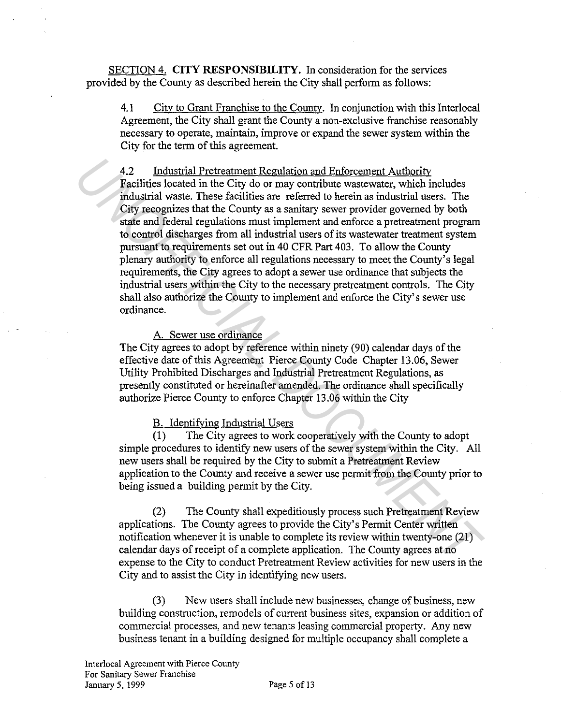SECTION 4. **CITY RESPONSIBILITY.** In consideration for the services provided by the County as described herein the City shall perform as follows:

4.1 City to Grant Franchise to the County. In conjunction with this Interlocal Agreement, the City shall grant the County a non-exclusive franchise reasonably necessary to operate, maintain, improve or expand the sewer system within the City for the term of this agreement.

4.2 Industrial Pretreatment Regulation and Enforcement Authority Facilities located in the City do or may contribute wastewater, which includes industrial waste. These facilities are referred to herein as industrial users. The City recognizes that the County as a sanitary sewer provider governed by both state and federal regulations must implement and enforce a pretreatment program to control discharges from all industrial users of its wastewater treatment system pursuant to requirements set out in 40 CFR Part 403. To allow the County plenary authority to enforce all regulations necessary to meet the County's legal requirements, the City agrees to adopt a sewer use ordinance that subjects the industrial users within the City to the necessary pretreatment controls. The City shall also authorize the County to implement and enforce the City's sewer use ordinance. 4.2 Industrial Pretreatment Regulation and Enforcement Authority<br>Facilities located in the City do or may contribute wastewater, which includes<br>industrial waste. These facilities are referred to herein as industrial users.

### A. Sewer use ordinance

The City agrees to adopt by reference within ninety (90) calendar days of the effective date of this Agreement Pierce County Code Chapter 13.06, Sewer Utility Prohibited Discharges and Industrial Pretreatment Regulations, as presently constituted or hereinafter amended. The ordinance shall specifically authorize Pierce County to enforce Chapter 13.06 within the City

### B. Identifying Industrial Users

(1) The City agrees to work cooperatively with the County to adopt simple procedures to identify new users of the sewer system within the City. All new users shall be required by the City to submit a Pretreatment Review application to the County and receive a sewer use permit from the County prior to being issued a building permit by the City.

(2) The County shall expeditiously process such Pretreatment Review applications. The County agrees to provide the City's Permit Center written notification whenever it is unable to complete its review within twenty-one (21) calendar days of receipt of a complete application. The County agrees at no expense to the City to conduct Pretreatment Review activities for new users in the City and to assist the City in identifying new users.

(3) New users shall include new businesses, change of business, new building construction, remodels of current business sites, expansion or addition of commercial processes, and new tenants leasing commercial property. Any new business tenant in a building designed for multiple occupancy shall complete a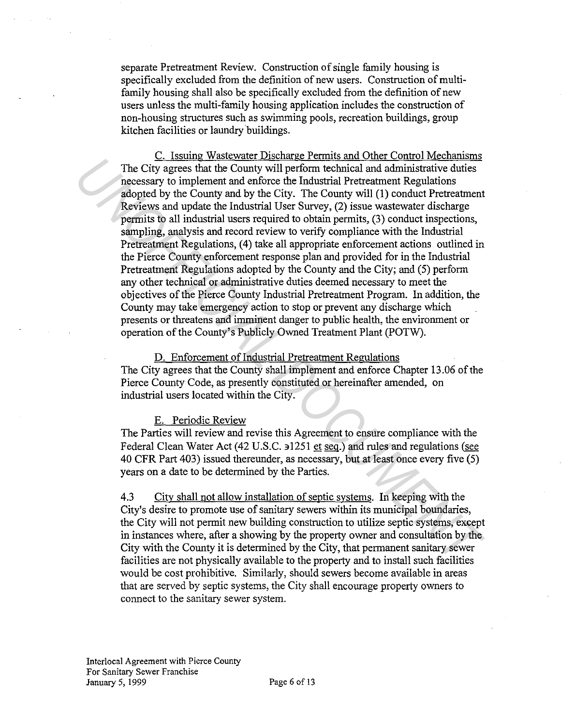separate Pretreatment Review. Construction of single family housing is specifically excluded from the definition of new users. Construction of multifamily housing shall also be specifically excluded from the definition of new users unless the multi-family housing application includes the construction of non-housing structures such as swimming pools, recreation buildings, group kitchen facilities or laundry buildings.

C. Issuing Wastewater Discharge Permits and Other Control Mechanisms The City agrees that the County will perform technical and administrative duties necessary to implement and enforce the Industrial Pretreatment Regulations adopted by the County and by the City. The County will (1) conduct Pretreatment Reviews and update the Industrial User Survey, (2) issue wastewater discharge permits to all industrial users required to obtain permits, (3) conduct inspections, sampling, analysis and record review to verify compliance with the Industrial Pretreatment Regulations, (4) take all appropriate enforcement actions outlined in the Pierce County enforcement response plan and provided for in the Industrial Pretreatment Regulations adopted by the County and the City; and (5) perform any other technical or administrative duties deemed necessary to meet the objectives of the Pierce County Industrial Pretreatment Program. In addition, the County may take emergency action to stop or prevent any discharge which presents or threatens and imminent danger to public health, the environment or operation of the County's Publicly Owned Treatment Plant (POTW). The City agrees that the County will perform technical and administrative duties<br>necessary to implement and enforce the Industrial Preterament Regulations<br>adopted by the County and by the City. The County will (1) conduct

D. Enforcement of Industrial Pretreatment Regulations The City agrees that the County shall implement and enforce Chapter 13.06 of the Pierce County Code, as presently constituted or hereinafter amended, on industrial users located within the City.

# E. Periodic Review

The Parties will review and revise this Agreement to ensure compliance with the Federal Clean Water Act (42 U.S.C. 31251 et seq.) and rules and regulations (see 40 CFR Part 403) issued thereunder, as necessary, but at least once every five (5) years on a date to be determined by the Parties.

4.3 City shall not allow installation of septic systems. In keeping with the City's desire to promote use of sanitary sewers within its municipal boundaries, the City will not permit new building construction to utilize septic systems, except in instances where, after a showing by the property owner and consultation by the City with the County it is determined by the City, that permanent sanitary sewer facilities are not physically available to the property and to install such facilities would be cost prohibitive. Similarly, should sewers become available in areas that are served by septic systems, the City shall encourage property owners to connect to the sanitary sewer system.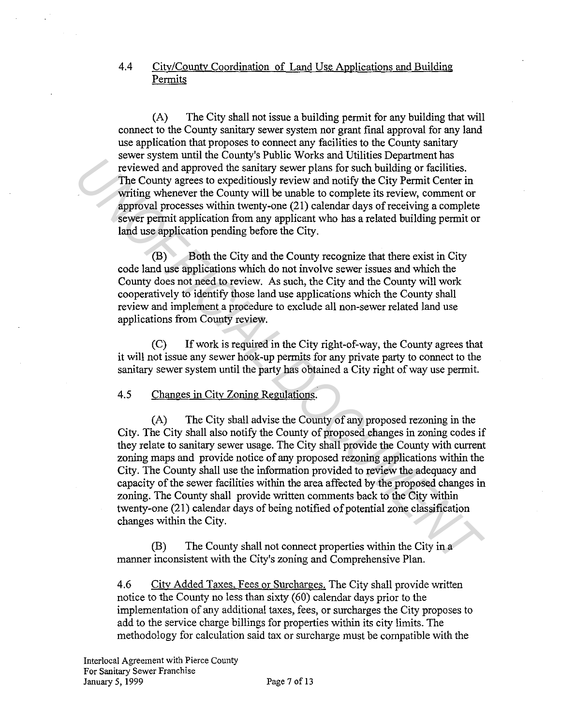# 4.4 City/County Coordination of Land Use Applications and Building Permits

(A) The City shall not issue a building permit for any building that will connect to the County sanitary sewer system nor grant final approval for any land use application that proposes to connect any facilities to the County sanitary sewer system until the County's Public Works and Utilities Department has reviewed and approved the sanitary sewer plans for such building or facilities. The County agrees to expeditiously review and notify the City Permit Center in writing whenever the County will be unable to complete its review, comment or approval processes within twenty-one (21) calendar days of receiving a complete sewer permit application from any applicant who has a related building permit or land use application pending before the City.

(B) Both the City and the County recognize that there exist in City code land use applications which do not involve sewer issues and which the County does not need to review. As such, the City and the County will work cooperatively to identify those land use applications which the County shall review and implement a procedure to exclude all non-sewer related land use applications from County review.

(C) If work is required in the City right-of-way, the County agrees that it will not issue any sewer hook-up permits for any private party to connect to the sanitary sewer system until the party has obtained a City right of way use permit.

### 4.5 Changes in City Zoning Regulations.

(A) The City shall advise the County of any proposed rezoning in the City. The City shall also notify the County of proposed changes in zoning codes if they relate to sanitary sewer usage. The City shall provide the County with current zoning maps and provide notice of any proposed rezoning applications within the City. The County shall use the information provided to review the adequacy and capacity of the sewer facilities within the area affected by the proposed changes in zoning. The County shall provide written comments back to the City within twenty-one (21) calendar days of being notified of potential zone classification changes within the City. *Universide that*<br> *UNIVERT THE County spectrosial and payrood the sanitary severe plans for such building or facilities.*<br>
The County signess to expeditionsly review and notify the City Permit Center in<br>
written in sympto

(B) The County shall not connect properties within the City in a manner inconsistent with the City's zoning and Comprehensive Plan.

4.6 City Added Taxes, Fees or Surcharges. The City shall provide written notice to the County no less than sixty (60) calendar days prior to the implementation of any additional taxes, fees, or surcharges the City proposes to add to the service charge billings for properties within its city limits. The methodology for calculation said tax or surcharge must be compatible with the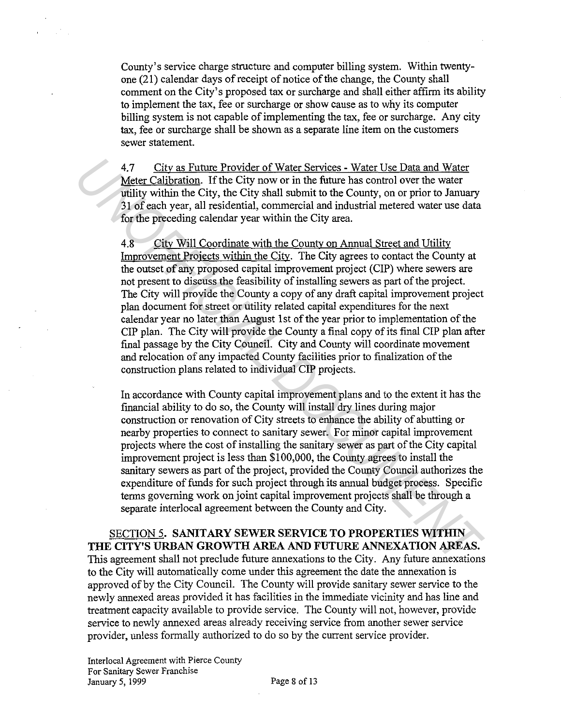County's service charge structure and computer billing system. Within twentyone (21) calendar days of receipt of notice of the change, the County shall comment on the City's proposed tax or surcharge and shall either affirm its ability to implement the tax, fee or surcharge or show cause as to why its computer billing system is not capable of implementing the tax, fee or surcharge. Any city tax, fee or surcharge shall be shown as a separate line item on the customers sewer statement.

4.7 City as Future Provider of Water Services - Water Use Data and Water Meter Calibration. If the City now or in the future has control over the water utility within the City, the City shall submit to the County, on or prior to January 31 of each year, all residential, commercial and industrial metered water use data for the preceding calendar year within the City area.

4.8 City Will Coordinate with the County on Annual Street and Utility Improvement Projects within the City. The City agrees to contact the County at the outset of any proposed capital improvement project (CIP) where sewers are not present to discuss the feasibility of installing sewers as part of the project. The City will provide the County a copy of any draft capital improvement project plan document for street or utility related capital expenditures for the next calendar year no later than August 1st of the year prior to implementation of the CIP plan. The City will provide the County a final copy of its final CIP plan after final passage by the City Council. City and County will coordinate movement and relocation of any impacted County facilities prior to finalization of the construction plans related to individual CIP projects. 4.7 City as Puture Provider of Water Services - Water Use Data and Water Meter Calibration. If the City now or in the future has control over the water williny within the City. the City shall submit to the County, on or pr

In accordance with County capital improvement plans and to the extent it has the financial ability to do so, the County will install dry lines during major construction or renovation of City streets to enhance the ability of abutting or nearby properties to connect to sanitary sewer. For minor capital improvement projects where the cost of installing the sanitary sewer as part of the City capital improvement project is less than \$100,000, the County agrees to install the sanitary sewers as part of the project, provided the County Council authorizes the expenditure of funds for such project through its annual budget process. Specific terms governing work on joint capital improvement projects shall be through a separate interlocal agreement between the County and City.

SECTION 5. **SANITARY SEWER SERVICE TO PROPERTIES WITHIN THE CITY'S URBAN GROWTH AREA AND FUTURE ANNEXATION AREAS.**  This agreement shall not preclude future annexations to the City. Any future annexations to the City will automatically come under this agreement the date the annexation is approved of by the City Council. The County will provide sanitary sewer service to the newly annexed areas provided it has facilities in the immediate vicinity and has line and treatment capacity available to provide service. The County will not, however, provide service to newly annexed areas already receiving service from another sewer service provider, unless formally authorized to do so by the current service provider.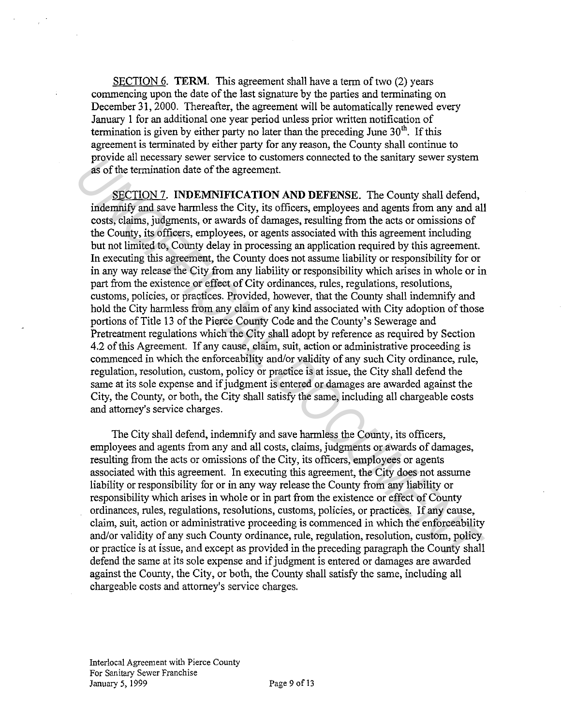SECTION 6. **TERM.** This agreement shall have a term of two (2) years commencing upon the date of the last signature by the parties and terminating on December 31, 2000. Thereafter, the agreement will be automatically renewed every January 1 for an additional one year period unless prior written notification of termination is given by either party no later than the preceding June  $30<sup>th</sup>$ . If this agreement is terminated by either party for any reason, the County shall continue to provide all necessary sewer service to customers connected to the sanitary sewer system as of the termination date of the agreement.

SECTION 7. **INDEMNIFICATION AND DEFENSE.** The County shall defend, indemnify and save harmless the City, its officers, employees and agents from any and all costs, claims, judgments, or awards of damages, resulting from the acts or omissions of the County, its officers, employees, or agents associated with this agreement including but not limited to, County delay in processing an application required by this agreement. In executing this agreement, the County does not assume liability or responsibility for or in any way release the City from any liability or responsibility which arises in whole or in part from the existence or effect of City ordinances, rules, regulations, resolutions, customs, policies, or practices. Provided, however, that the County shall indemnify and hold the City harmless from any claim of any kind associated with City adoption of those portions of Title 13 of the Pierce County Code and the County's Sewerage and Pretreatment regulations which the City shall adopt by reference as required by Section 4.2 of this Agreement. If any cause, claim, suit, action or administrative proceeding is commenced in which the enforceability and/or validity of any such City ordinance, rule, regulation, resolution, custom, policy or practice is at issue, the City shall defend the same at its sole expense and if judgment is entered or damages are awarded against the City, the County, or both, the City shall satisfy the same, including all chargeable costs and attorney's service charges. **FIGURE 13 OF EXECT CONSULTS (SECT)** The proposition of the same and solid the existing several proposes of the termination date of the agreement.<br> **SECTION 7. INDEMINIFICATION AND DEFENSE.** The County shall defend, inde

The City shall defend, indemnify and save harmless the County, its officers, employees and agents from any and all costs, claims, judgments or awards of damages, resulting from the acts or omissions of the City, its officers, employees or agents associated with this agreement. In executing this agreement, the City does not assume liability or responsibility for or in any way release the County from any liability or responsibility which arises in whole or in part from the existence or effect of County ordinances, rules, regulations, resolutions, customs, policies, or practices. If any cause, claim, suit, action or administrative proceeding is commenced in which the enforceability and/or validity of any such County ordinance, rule, regulation, resolution, custom, policy or practice is at issue, and except as provided in the preceding paragraph the County shall defend the same at its sole expense and if judgment is entered or damages are awarded against the County, the City, or both, the County shall satisfy the same, including all chargeable costs and attorney's service charges.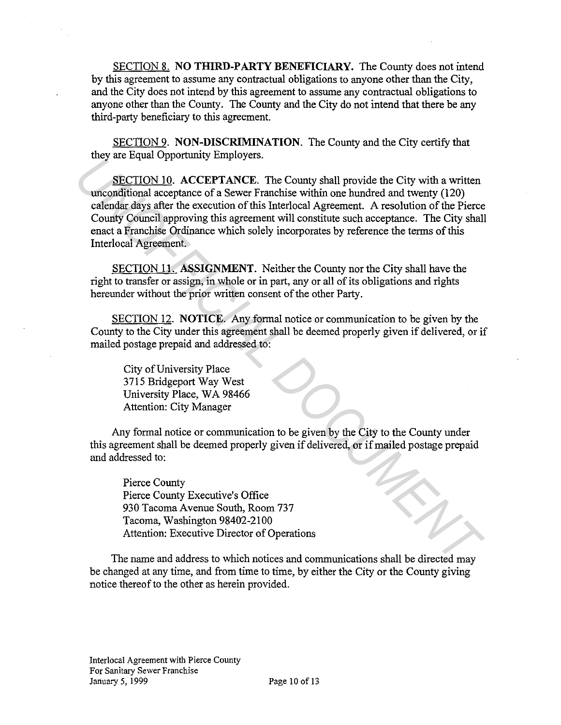SECTION 8. **NO THIRD-PARTY BENEFICIARY.** The County does not intend by this agreement to assume any contractual obligations to anyone other than the City, and the City does not intend by this agreement to assume any contractual obligations to anyone other than the County. The County and the City do not intend that there be any third-party beneficiary to this agreement.

SECTION 9. **NON-DISCRIMINATION.** The County and the City certify that they are Equal Opportunity Employers.

SECTION 10. **ACCEPTANCE.** The County shall provide the City with a written unconditional acceptance of a Sewer Franchise within one hundred and twenty (120) calendar days after the execution of this Interlocal Agreement. A resolution of the Pierce County Council approving this agreement will constitute such acceptance. The City shall enact a Franchise Ordinance which solely incorporates by reference the terms of this Interlocal Agreement. **ESCITION 10.** ACCEPTANCE. The County shall provide the City with a written<br> **SECITON 10. ACCEPTANCE.** The County shall provide the City with a written<br>
calendar day sher the execution of this Interlocal Agreement. A resol

SECTION 11. **ASSIGNMENT.** Neither the County nor the City shall have the right to transfer or assign, in whole or in part, any or all of its obligations and rights hereunder without the prior written consent of the other Party.

SECTION 12. **NOTICE.** Any formal notice or communication to be given by the County to the City under this agreement shall be deemed properly given if delivered, or if mailed postage prepaid and addressed to:

City of University Place 3715 Bridgeport Way West University Place, WA 98466 Attention: City Manager

Any formal notice or communication to be given by the City to the County under this agreement shall be deemed properly given if delivered, or if mailed postage prepaid and addressed to:

Pierce County Pierce County Executive's Office 930 Tacoma Avenue South, Room 737 Tacoma, Washington 98402-2100 Attention: Executive Director of Operations

The name and address to which notices and communications shall be directed may be changed at any time, and from time to time, by either the City or the County giving notice thereof to the other as herein provided.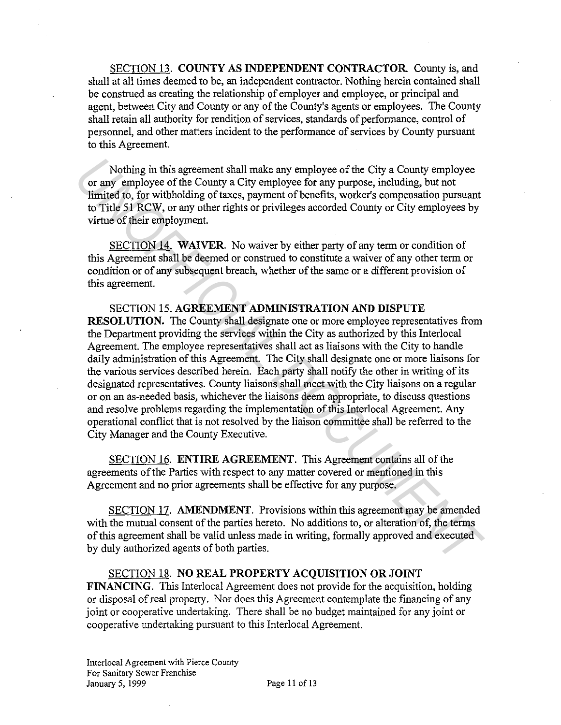SECTION 13. **COUNTY AS INDEPENDENT CONTRACTOR.** County is, and shall at all times deemed to be, an independent contractor. Nothing herein contained shall be construed as creating the relationship of employer and employee, or principal and agent, between City and County or any of the County's agents or employees. The County shall retain all authority for rendition of services, standards of performance, control of personnel, and other matters incident to the performance of services by County pursuant to this Agreement.

Nothing in this agreement shall make any employee of the City a County employee or any employee of the County a City employee for any purpose, including, but not limited to, for withholding of taxes, payment of benefits, worker's compensation pursuant to Title 51 RCW, or any other rights or privileges accorded County or City employees by virtue of their employment.

SECTION 14. **WAIVER.** No waiver by either party of any term or condition of this Agreement shall be deemed or construed to constitute a waiver of any other term or condition or of any subsequent breach, whether of the same or a different provision of this agreement.

SECTION 15. **AGREEMENT ADMINISTRATION AND DISPUTE RESOLUTION.** The County shall designate one or more employee representatives from the Department providing the services within the City as authorized by this Interlocal Agreement. The employee representatives shall act as liaisons with the City to handle daily administration of this Agreement. The City shall designate one or more liaisons for the various services described herein. Each party shall notify the other in writing of its designated representatives. County liaisons shall meet with the City liaisons on a regular or on an as-needed basis, whichever the liaisons deem appropriate, to discuss questions and resolve problems regarding the implementation of this Interlocal Agreement. Any operational conflict that is not resolved by the liaison committee shall be referred to the City Manager and the County Executive. Nothing in this agreement shall make any employee of the City a County employee<br>or any employee of the County a City mphoyee for any purpose, including, but not<br>imited to, for withholding of taxes, payment of benefits, wor

SECTION 16. **ENTIRE AGREEMENT.** This Agreement contains all of the agreements of the Parties with respect to any matter covered or mentioned in this Agreement and no prior agreements shall be effective for any purpose.

SECTION 17. **AMENDMENT.** Provisions within this agreement may be amended with the mutual consent of the parties hereto. No additions to, or alteration of, the terms of this agreement shall be valid unless made in writing, formally approved and executed by duly authorized agents of both parties.

SECTION 18. **NO REAL PROPERTY ACQUISITION OR JOINT FINANCING.** This Interlocal Agreement does not provide for the acquisition, holding or disposal ofreal property. Nor does this Agreement contemplate the financing of any joint or cooperative undertaking. There shall be no budget maintained for any joint or cooperative undertaking pursuant to this Interlocal Agreement.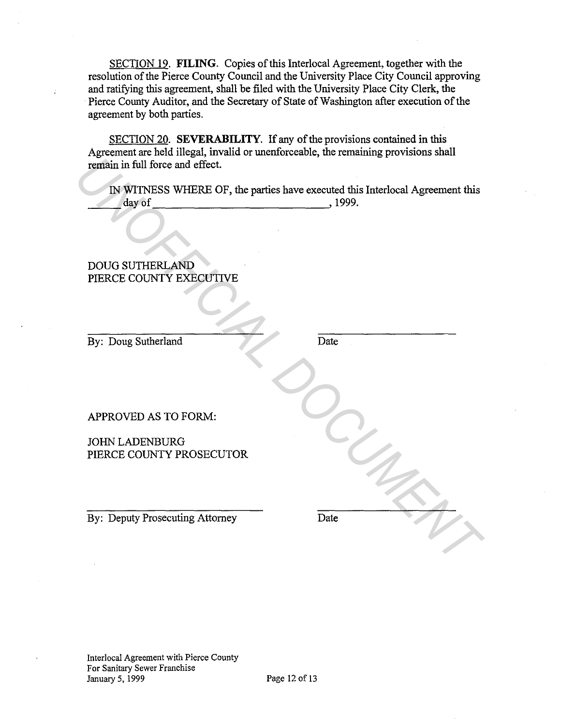SECTION 19. **FILING.** Copies of this Interlocal Agreement, together with the resolution of the Pierce County Council and the University Place City Council approving and ratifying this agreement, shall be filed with the University Place City Clerk, the Pierce County Auditor, and the Secretary of State of Washington after execution of the agreement by both parties.

SECTION 20. **SEVERABILITY.** If any of the provisions contained in this Agreement are held illegal, invalid or unenforceable, the remaining provisions shall remain in full force and effect.

IN WITNESS WHERE OF, the parties have executed this Interlocal Agreement this \_\_ day of 1999. **EXERCISE IN WITNESS WHERE OF, the parties have executed this Interlocal Agreement this and of the parties of the parties have executed this Interlocal Agreement this and of the parties AND PIERCE COUNTY EXECUTIVE<br>
PIERCE** 

# DOUG SUTHERLAND PIERCE COUNTY EXECUTIVE

By: Doug Sutherland

Date

APPROVED AS TO FORM:

JOHN LADENBURG PIERCE COUNTY PROSECUTOR

By: Deputy Prosecuting Attorney

Date

Interlocal Agreement with Pierce County For Sanitary Sewer Franchise January 5, 1999